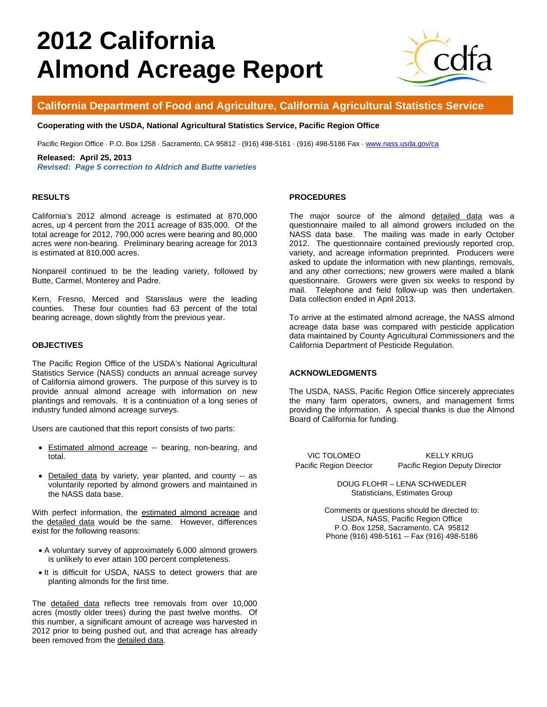# **2012 California Almond Acreage Report**



## **California Department of Food and Agriculture, California Agricultural Statistics Service**

#### **Cooperating with the USDA, National Agricultural Statistics Service, Pacific Region Office**

Pacific Region Office · P.O. Box 1258 · Sacramento, CA 95812 · (916) 498-5161 · (916) 498-5186 Fax · www.nass.usda.gov/ca

#### **Released: April 25, 2013**

*Revised: Page 5 correction to Aldrich and Butte varieties* 

#### **RESULTS**

California's 2012 almond acreage is estimated at 870,000 acres, up 4 percent from the 2011 acreage of 835,000. Of the total acreage for 2012, 790,000 acres were bearing and 80,000 acres were non-bearing. Preliminary bearing acreage for 2013 is estimated at 810,000 acres.

Nonpareil continued to be the leading variety, followed by Butte, Carmel, Monterey and Padre.

Kern, Fresno, Merced and Stanislaus were the leading counties. These four counties had 63 percent of the total bearing acreage, down slightly from the previous year.

### **OBJECTIVES**

The Pacific Region Office of the USDA's National Agricultural Statistics Service (NASS) conducts an annual acreage survey of California almond growers. The purpose of this survey is to provide annual almond acreage with information on new plantings and removals. It is a continuation of a long series of industry funded almond acreage surveys.

Users are cautioned that this report consists of two parts:

- Estimated almond acreage -- bearing, non-bearing, and total.
- Detailed data by variety, year planted, and county -- as voluntarily reported by almond growers and maintained in the NASS data base.

With perfect information, the estimated almond acreage and the detailed data would be the same. However, differences exist for the following reasons:

- A voluntary survey of approximately 6,000 almond growers is unlikely to ever attain 100 percent completeness.
- It is difficult for USDA, NASS to detect growers that are planting almonds for the first time.

The detailed data reflects tree removals from over 10,000 acres (mostly older trees) during the past twelve months. Of this number, a significant amount of acreage was harvested in 2012 prior to being pushed out, and that acreage has already been removed from the detailed data.

#### **PROCEDURES**

The major source of the almond detailed data was a questionnaire mailed to all almond growers included on the NASS data base. The mailing was made in early October 2012. The questionnaire contained previously reported crop, variety, and acreage information preprinted. Producers were asked to update the information with new plantings, removals, and any other corrections; new growers were mailed a blank questionnaire. Growers were given six weeks to respond by mail. Telephone and field follow-up was then undertaken. Data collection ended in April 2013.

To arrive at the estimated almond acreage, the NASS almond acreage data base was compared with pesticide application data maintained by County Agricultural Commissioners and the California Department of Pesticide Regulation.

### **ACKNOWLEDGMENTS**

The USDA, NASS, Pacific Region Office sincerely appreciates the many farm operators, owners, and management firms providing the information. A special thanks is due the Almond Board of California for funding.

VIC TOLOMEO
BUT A KELLY KRUG Pacific Region Director Pacific Region Deputy Director

> DOUG FLOHR – LENA SCHWEDLER Statisticians, Estimates Group

Comments or questions should be directed to: USDA, NASS, Pacific Region Office P.O. Box 1258, Sacramento, CA 95812 Phone (916) 498-5161 -- Fax (916) 498-5186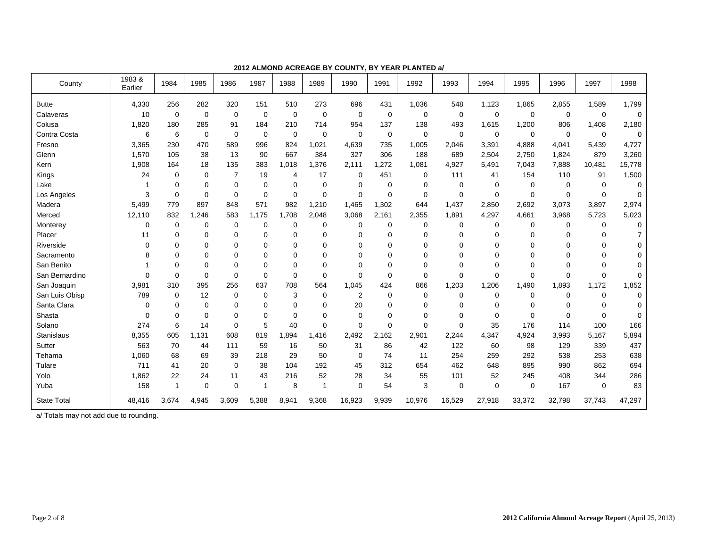| County             | 1983&<br>Earlier | 1984           | 1985        | 1986           | 1987        | 1988        | 1989        | 1990        | 1991        | 1992        | 1993        | 1994        | 1995        | 1996        | 1997        | 1998     |
|--------------------|------------------|----------------|-------------|----------------|-------------|-------------|-------------|-------------|-------------|-------------|-------------|-------------|-------------|-------------|-------------|----------|
| <b>Butte</b>       | 4,330            | 256            | 282         | 320            | 151         | 510         | 273         | 696         | 431         | 1,036       | 548         | 1,123       | 1,865       | 2,855       | 1,589       | 1,799    |
| Calaveras          | 10               | 0              | $\mathbf 0$ | $\mathbf 0$    | 0           | $\mathbf 0$ | $\mathbf 0$ | $\mathbf 0$ | $\mathbf 0$ | 0           | $\mathbf 0$ | $\mathbf 0$ | 0           | $\mathbf 0$ | 0           | 0        |
| Colusa             | 1,820            | 180            | 285         | 91             | 184         | 210         | 714         | 954         | 137         | 138         | 493         | 1,615       | 1,200       | 806         | 1,408       | 2,180    |
| Contra Costa       | 6                | 6              | $\mathbf 0$ | $\mathbf 0$    | $\mathbf 0$ | $\mathbf 0$ | 0           | $\mathbf 0$ | 0           | $\mathbf 0$ | $\mathbf 0$ | 0           | 0           | $\mathbf 0$ | $\mathbf 0$ | 0        |
| Fresno             | 3,365            | 230            | 470         | 589            | 996         | 824         | 1,021       | 4,639       | 735         | 1,005       | 2,046       | 3,391       | 4,888       | 4,041       | 5,439       | 4,727    |
| Glenn              | 1,570            | 105            | 38          | 13             | 90          | 667         | 384         | 327         | 306         | 188         | 689         | 2,504       | 2,750       | 1,824       | 879         | 3,260    |
| Kern               | 1,908            | 164            | 18          | 135            | 383         | 1,018       | 1,376       | 2,111       | ,272        | 1,081       | 4,927       | 5,491       | 7,043       | 7,888       | 10,481      | 15,778   |
| Kings              | 24               | 0              | $\Omega$    | $\overline{7}$ | 19          | 4           | 17          | $\mathbf 0$ | 451         | $\mathbf 0$ | 111         | 41          | 154         | 110         | 91          | 1,500    |
| Lake               |                  | $\Omega$       | $\Omega$    | 0              | $\mathbf 0$ | 0           | $\mathbf 0$ | $\Omega$    | 0           | $\Omega$    | $\mathbf 0$ | 0           | $\mathbf 0$ | $\mathbf 0$ | $\mathbf 0$ | 0        |
| Los Angeles        | 3                | $\Omega$       | 0           | 0              | $\mathbf 0$ | $\Omega$    | $\Omega$    | $\Omega$    | $\Omega$    | $\Omega$    | 0           | 0           | $\Omega$    | $\Omega$    | $\Omega$    | $\Omega$ |
| Madera             | 5.499            | 779            | 897         | 848            | 571         | 982         | 1,210       | 1,465       | 1,302       | 644         | 1,437       | 2,850       | 2,692       | 3,073       | 3,897       | 2,974    |
| Merced             | 12,110           | 832            | .246<br>1   | 583            | 1.175       | 1,708       | 2,048       | 3,068       | 2,161       | 2,355       | 1.891       | 4,297       | 4,661       | 3,968       | 5,723       | 5,023    |
| Monterey           | 0                | 0              | 0           | 0              | 0           | 0           | 0           | 0           | 0           | $\mathbf 0$ | 0           | 0           | 0           | 0           | 0           | 0        |
| Placer             | 11               | $\Omega$       | 0           | 0              | 0           | 0           | $\mathbf 0$ | 0           | 0           | 0           | $\mathbf 0$ | 0           | $\Omega$    | 0           | 0           |          |
| Riverside          | $\Omega$         | $\Omega$       | $\Omega$    | 0              | 0           | 0           | $\Omega$    | 0           | 0           | $\Omega$    | $\Omega$    | 0           | $\Omega$    | $\Omega$    | 0           | 0        |
| Sacramento         | 8                | $\Omega$       | $\Omega$    | 0              | 0           | 0           | $\Omega$    | $\Omega$    | 0           | $\Omega$    | $\Omega$    | 0           | $\Omega$    | $\Omega$    | $\Omega$    | 0        |
| San Benito         |                  | $\Omega$       | $\Omega$    | 0              | $\mathbf 0$ | $\Omega$    | $\Omega$    | $\Omega$    | 0           | $\Omega$    | $\mathbf 0$ | 0           | $\Omega$    | $\mathbf 0$ | $\Omega$    | $\Omega$ |
| San Bernardino     | $\Omega$         | $\Omega$       | $\mathbf 0$ | 0              | $\mathbf 0$ | $\Omega$    | $\Omega$    | $\Omega$    | $\Omega$    | $\Omega$    | $\mathbf 0$ | $\mathbf 0$ | $\Omega$    | $\Omega$    | $\Omega$    | 0        |
| San Joaquin        | 3,981            | 310            | 395         | 256            | 637         | 708         | 564         | 1.045       | 424         | 866         | 1,203       | 1,206       | 1,490       | 1,893       | 1,172       | 1,852    |
| San Luis Obisp     | 789              | 0              | 12          | $\mathbf 0$    | 0           | 3           | $\mathbf 0$ | 2           | 0           | $\mathbf 0$ | 0           | 0           | 0           | $\mathbf 0$ | 0           | 0        |
| Santa Clara        | 0                | $\Omega$       | $\mathbf 0$ | 0              | $\mathbf 0$ | 0           | $\Omega$    | 20          | 0           | $\mathbf 0$ | $\mathbf 0$ | 0           | $\Omega$    | $\mathbf 0$ | 0           | $\Omega$ |
| Shasta             | 0                | $\Omega$       | $\mathbf 0$ | 0              | 0           | 0           | $\mathbf 0$ | $\mathbf 0$ | 0           | 0           | $\mathbf 0$ | 0           | $\Omega$    | $\mathbf 0$ | $\Omega$    | 0        |
| Solano             | 274              | 6              | 14          | 0              | 5           | 40          | $\Omega$    | $\Omega$    | 0           | $\Omega$    | $\mathbf 0$ | 35          | 176         | 114         | 100         | 166      |
| Stanislaus         | 8,355            | 605            | 1,131       | 608            | 819         | 1,894       | 1,416       | 2,492       | 2,162       | 2,901       | 2,244       | 4,347       | 4,924       | 3,993       | 5,167       | 5,894    |
| Sutter             | 563              | 70             | 44          | 111            | 59          | 16          | 50          | 31          | 86          | 42          | 122         | 60          | 98          | 129         | 339         | 437      |
| Tehama             | 1,060            | 68             | 69          | 39             | 218         | 29          | 50          | $\mathbf 0$ | 74          | 11          | 254         | 259         | 292         | 538         | 253         | 638      |
| Tulare             | 711              | 41             | 20          | $\mathbf 0$    | 38          | 104         | 192         | 45          | 312         | 654         | 462         | 648         | 895         | 990         | 862         | 694      |
| Yolo               | 1,862            | 22             | 24          | 11             | 43          | 216         | 52          | 28          | 34          | 55          | 101         | 52          | 245         | 408         | 344         | 286      |
| Yuba               | 158              | $\overline{1}$ | $\mathbf 0$ | 0              | 1           | 8           | 1           | $\Omega$    | 54          | 3           | $\mathbf 0$ | $\mathbf 0$ | $\mathbf 0$ | 167         | $\Omega$    | 83       |
| <b>State Total</b> | 48,416           | 3,674          | 4,945       | 3,609          | 5,388       | 8,941       | 9,368       | 16,923      | 9,939       | 10,976      | 16,529      | 27,918      | 33,372      | 32,798      | 37,743      | 47,297   |

**2012 ALMOND ACREAGE BY COUNTY, BY YEAR PLANTED a/**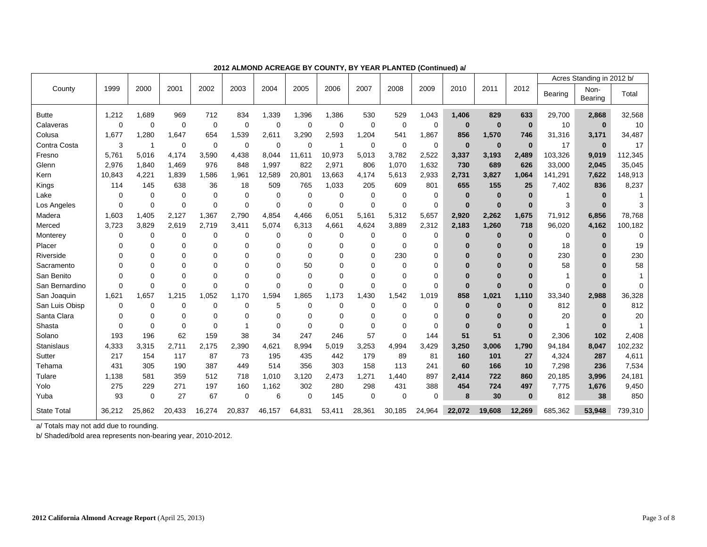|                    |             |                |             |             |             |             |             |                |             |             |             |             |          |              | Acres Standing in 2012 b/ |                 |          |
|--------------------|-------------|----------------|-------------|-------------|-------------|-------------|-------------|----------------|-------------|-------------|-------------|-------------|----------|--------------|---------------------------|-----------------|----------|
| County             | 1999        | 2000           | 2001        | 2002        | 2003        | 2004        | 2005        | 2006           | 2007        | 2008        | 2009        | 2010        | 2011     | 2012         | Bearing                   | Non-<br>Bearing | Total    |
| <b>Butte</b>       | 1,212       | 1.689          | 969         | 712         | 834         | 1,339       | 1,396       | 1,386          | 530         | 529         | 1,043       | 1,406       | 829      | 633          | 29,700                    | 2,868           | 32,568   |
| Calaveras          | $\Omega$    | $\Omega$       | $\mathbf 0$ | $\mathbf 0$ | $\Omega$    | $\Omega$    | $\mathbf 0$ | 0              | $\Omega$    | $\Omega$    | 0           | $\bf{0}$    | $\bf{0}$ | $\bf{0}$     | 10                        | $\bf{0}$        | 10       |
| Colusa             | 1.677       | 1,280          | 1.647       | 654         | 1,539       | 2,611       | 3,290       | 2,593          | 1,204       | 541         | 1,867       | 856         | 1,570    | 746          | 31,316                    | 3,171           | 34,487   |
| Contra Costa       | 3           | $\overline{1}$ | $\mathbf 0$ | $\mathbf 0$ | $\mathbf 0$ | $\Omega$    | $\Omega$    | $\overline{1}$ | $\mathbf 0$ | $\mathbf 0$ | $\mathbf 0$ | $\bf{0}$    | $\bf{0}$ | $\mathbf{0}$ | 17                        | $\bf{0}$        | 17       |
| Fresno             | 5.761       | 5.016          | 4.174       | 3,590       | 4.438       | 8.044       | 11.611      | 10,973         | 5,013       | 3.782       | 2,522       | 3,337       | 3,193    | 2,489        | 103,326                   | 9,019           | 112,345  |
| Glenn              | 2,976       | 1,840          | 1,469       | 976         | 848         | 1,997       | 822         | 2,971          | 806         | 1,070       | 1,632       | 730         | 689      | 626          | 33,000                    | 2,045           | 35,045   |
| Kern               | 10,843      | 4,221          | 1,839       | 1,586       | 1,961       | 12,589      | 20,801      | 13,663         | 4,174       | 5,613       | 2,933       | 2,731       | 3,827    | 1,064        | 141,291                   | 7,622           | 148,913  |
| Kings              | 114         | 145            | 638         | 36          | 18          | 509         | 765         | 1,033          | 205         | 609         | 801         | 655         | 155      | 25           | 7,402                     | 836             | 8,237    |
| Lake               | 0           | $\mathbf 0$    | $\mathbf 0$ | 0           | $\mathbf 0$ | $\mathbf 0$ | 0           | 0              | $\Omega$    | $\Omega$    | 0           | $\bf{0}$    | $\bf{0}$ | $\bf{0}$     | 1                         | $\Omega$        |          |
| Los Angeles        | $\Omega$    | $\Omega$       | $\mathbf 0$ | $\Omega$    | $\Omega$    | $\Omega$    | $\Omega$    | $\Omega$       | $\Omega$    | $\Omega$    | $\mathbf 0$ | $\bf{0}$    | $\bf{0}$ | $\bf{0}$     | 3                         | $\Omega$        |          |
| Madera             | 1,603       | 1,405          | 2,127       | 1,367       | 2,790       | 4,854       | 4,466       | 6,051          | 5,161       | 5,312       | 5,657       | 2,920       | 2,262    | 1,675        | 71,912                    | 6,856           | 78,768   |
| Merced             | 3,723       | 3,829          | 2,619       | 2.719       | 3,411       | 5,074       | 6,313       | 4,661          | 4,624       | 3,889       | 2,312       | 2,183       | 1,260    | 718          | 96,020                    | 4,162           | 100,182  |
| Monterey           | $\mathbf 0$ | $\mathbf 0$    | $\mathbf 0$ | 0           | $\mathbf 0$ | $\Omega$    | $\mathbf 0$ | 0              | $\mathbf 0$ | 0           | $\mathbf 0$ | $\bf{0}$    | $\bf{0}$ | $\bf{0}$     | 0                         | $\bf{0}$        | $\Omega$ |
| Placer             | 0           | 0              | 0           | 0           | 0           | $\Omega$    | 0           | 0              | $\Omega$    | $\Omega$    | $\Omega$    | $\bf{0}$    | $\bf{0}$ | $\bf{0}$     | 18                        | 0               | 19       |
| Riverside          | $\Omega$    | $\Omega$       | $\Omega$    | 0           | $\Omega$    | $\Omega$    | $\Omega$    | $\Omega$       | $\Omega$    | 230         | $\Omega$    | $\Omega$    | $\Omega$ | $\bf{0}$     | 230                       | ŋ               | 230      |
| Sacramento         | $\Omega$    | $\mathbf 0$    | $\Omega$    | 0           | $\Omega$    | $\Omega$    | 50          | $\Omega$       | $\Omega$    | $\Omega$    | $\Omega$    | $\bf{0}$    | $\Omega$ | $\bf{0}$     | 58                        | ŋ               | 58       |
| San Benito         | $\Omega$    | $\Omega$       | $\Omega$    | 0           | $\Omega$    | $\Omega$    | $\Omega$    | $\Omega$       | $\Omega$    | $\Omega$    | $\Omega$    | $\Omega$    | $\Omega$ | $\Omega$     | 1                         |                 |          |
| San Bernardino     | $\Omega$    | $\Omega$       | $\Omega$    | $\Omega$    | $\Omega$    | $\Omega$    | $\Omega$    | $\Omega$       | $\Omega$    | $\Omega$    | $\Omega$    | $\Omega$    | $\bf{0}$ | $\bf{0}$     | $\Omega$                  | $\Omega$        |          |
| San Joaquin        | 1,621       | 1,657          | 1,215       | 1.052       | 1.170       | 1,594       | 1,865       | 1,173          | ,430        | 1,542       | 1,019       | 858         | 1,021    | 1,110        | 33,340                    | 2,988           | 36,328   |
| San Luis Obisp     | $\mathbf 0$ | $\mathbf 0$    | $\mathbf 0$ | 0           | $\mathbf 0$ | 5           | $\mathbf 0$ | 0              | 0           | $\mathbf 0$ | 0           | $\mathbf 0$ | $\bf{0}$ | $\bf{0}$     | 812                       | $\bf{0}$        | 812      |
| Santa Clara        | 0           | $\mathbf 0$    | 0           | $\Omega$    | $\Omega$    | $\Omega$    | $\Omega$    | 0              | $\Omega$    | $\Omega$    | $\Omega$    | $\bf{0}$    | $\bf{0}$ | $\bf{0}$     | 20                        | $\Omega$        | 20       |
| Shasta             | $\Omega$    | $\Omega$       | $\mathbf 0$ | $\Omega$    |             | $\Omega$    | $\Omega$    | $\Omega$       | $\Omega$    | $\Omega$    | $\Omega$    | $\Omega$    | $\Omega$ | $\bf{0}$     | 1                         | $\bf{0}$        |          |
| Solano             | 193         | 196            | 62          | 159         | 38          | 34          | 247         | 246            | 57          | $\Omega$    | 144         | 51          | 51       | $\bf{0}$     | 2,306                     | 102             | 2,408    |
| Stanislaus         | 4,333       | 3,315          | 2.711       | 2,175       | 2,390       | 4,621       | 8,994       | 5,019          | 3,253       | 4,994       | 3,429       | 3,250       | 3,006    | 1,790        | 94,184                    | 8,047           | 102,232  |
| Sutter             | 217         | 154            | 117         | 87          | 73          | 195         | 435         | 442            | 179         | 89          | 81          | 160         | 101      | 27           | 4,324                     | 287             | 4,611    |
| Tehama             | 431         | 305            | 190         | 387         | 449         | 514         | 356         | 303            | 158         | 113         | 241         | 60          | 166      | 10           | 7,298                     | 236             | 7,534    |
| Tulare             | 1,138       | 581            | 359         | 512         | 718         | 1,010       | 3,120       | 2,473          | 1,271       | 1,440       | 897         | 2,414       | 722      | 860          | 20,185                    | 3,996           | 24,181   |
| Yolo               | 275         | 229            | 271         | 197         | 160         | 1,162       | 302         | 280            | 298         | 431         | 388         | 454         | 724      | 497          | 7,775                     | 1,676           | 9,450    |
| Yuba               | 93          | $\mathbf 0$    | 27          | 67          | $\mathbf 0$ | 6           | $\mathbf 0$ | 145            | $\mathbf 0$ | $\mathbf 0$ | $\Omega$    | 8           | 30       | $\bf{0}$     | 812                       | 38              | 850      |
| <b>State Total</b> | 36.212      | 25,862         | 20,433      | 16,274      | 20,837      | 46.157      | 64,831      | 53,411         | 28,361      | 30,185      | 24,964      | 22.072      | 19.608   | 12.269       | 685.362                   | 53.948          | 739,310  |

**2012 ALMOND ACREAGE BY COUNTY, BY YEAR PLANTED (Continued) a/** 

b/ Shaded/bold area represents non-bearing year, 2010-2012.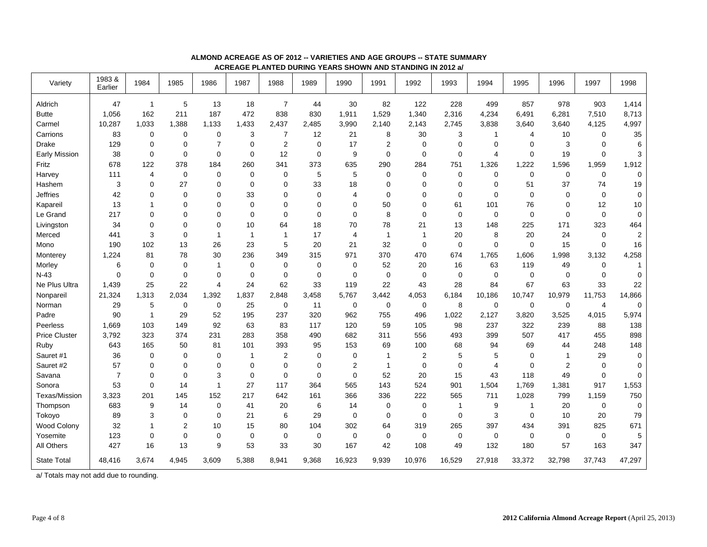| Variety                                | 1983&<br>Earlier | 1984           | 1985           | 1986                    | 1987         | 1988           | 1989        | 1990           | 1991         | 1992           | 1993           | 1994           | 1995           | 1996        | 1997           | 1998           |
|----------------------------------------|------------------|----------------|----------------|-------------------------|--------------|----------------|-------------|----------------|--------------|----------------|----------------|----------------|----------------|-------------|----------------|----------------|
| Aldrich                                | 47               | $\overline{1}$ | 5              | 13                      | 18           | $\overline{7}$ | 44          | 30             | 82           | 122            | 228            | 499            | 857            | 978         | 903            | 1,414          |
| <b>Butte</b>                           | 1,056            | 162            | 211            | 187                     | 472          | 838            | 830         | 1,911          | 1,529        | 1,340          | 2,316          | 4,234          | 6,491          | 6,281       | 7,510          | 8,713          |
| Carmel                                 | 10,287           | 1,033          | 1,388          | 1,133                   | 1,433        | 2,437          | 2,485       | 3,990          | 2,140        | 2,143          | 2,745          | 3,838          | 3,640          | 3,640       | 4,125          | 4,997          |
| Carrions                               | 83               | $\mathbf 0$    | $\mathbf 0$    | $\pmb{0}$               | 3            | $\overline{7}$ | 12          | 21             | 8            | 30             | 3              | $\overline{1}$ | $\overline{4}$ | 10          | $\mathbf 0$    | 35             |
| <b>Drake</b>                           | 129              | $\mathbf 0$    | $\mathbf 0$    | $\overline{7}$          | $\mathbf 0$  | $\mathbf{2}$   | $\mathbf 0$ | 17             | 2            | $\mathbf 0$    | $\mathbf 0$    | $\mathbf 0$    | $\mathbf 0$    | 3           | $\mathbf 0$    | 6              |
| <b>Early Mission</b>                   | 38               | $\mathbf 0$    | $\mathbf 0$    | $\mathbf 0$             | $\mathbf 0$  | 12             | $\mathbf 0$ | 9              | $\mathbf 0$  | $\mathbf 0$    | $\mathbf 0$    | $\overline{4}$ | $\mathbf 0$    | 19          | $\mathbf 0$    | 3              |
| Fritz                                  | 678              | 122            | 378            | 184                     | 260          | 341            | 373         | 635            | 290          | 284            | 751            | 1,326          | 1,222          | 1,596       | 1,959          | 1,912          |
| Harvey                                 | 111              | $\overline{4}$ | $\mathbf 0$    | $\mathbf 0$             | $\mathbf 0$  | $\mathbf 0$    | 5           | 5              | $\Omega$     | $\mathbf 0$    | $\mathbf 0$    | $\mathbf 0$    | $\mathbf 0$    | $\mathbf 0$ | $\mathbf 0$    | $\mathbf 0$    |
| Hashem                                 | 3                | $\mathbf 0$    | 27             | $\mathbf 0$             | $\mathbf 0$  | $\mathbf 0$    | 33          | 18             | $\mathbf 0$  | $\mathbf 0$    | $\mathbf 0$    | $\mathbf 0$    | 51             | 37          | 74             | 19             |
| <b>Jeffries</b>                        | 42               | $\mathbf 0$    | $\mathbf 0$    | $\mathbf 0$             | 33           | $\mathbf 0$    | $\mathbf 0$ | $\overline{4}$ | $\mathbf 0$  | $\mathbf 0$    | $\mathbf 0$    | $\mathbf 0$    | 0              | $\mathbf 0$ | $\mathbf 0$    | $\mathbf 0$    |
| Kapareil                               | 13               | $\mathbf{1}$   | $\mathbf 0$    | $\Omega$                | $\mathbf 0$  | $\Omega$       | $\mathbf 0$ | $\Omega$       | 50           | 0              | 61             | 101            | 76             | $\Omega$    | 12             | $10$           |
| Le Grand                               | 217              | $\mathbf 0$    | $\mathbf 0$    | 0                       | 0            | $\Omega$       | $\mathbf 0$ | $\Omega$       | 8            | 0              | $\mathbf 0$    | $\mathbf 0$    | $\mathbf 0$    | $\mathbf 0$ | $\mathbf 0$    | 0              |
| Livingston                             | 34               | $\mathbf 0$    | $\mathbf 0$    | $\mathbf 0$             | 10           | 64             | 18          | 70             | 78           | 21             | 13             | 148            | 225            | 171         | 323            | 464            |
| Merced                                 | 441              | 3              | $\mathbf 0$    | $\overline{\mathbf{1}}$ | $\mathbf{1}$ | -1             | 17          | 4              | $\mathbf{1}$ | $\overline{1}$ | 20             | 8              | 20             | 24          | $\mathbf 0$    | $\overline{2}$ |
| Mono                                   | 190              | 102            | 13             | 26                      | 23           | 5              | 20          | 21             | 32           | $\mathbf 0$    | $\mathbf 0$    | $\pmb{0}$      | $\mathbf 0$    | 15          | $\mathbf 0$    | 16             |
| Monterey                               | 1,224            | 81             | 78             | 30                      | 236          | 349            | 315         | 971            | 370          | 470            | 674            | 1,765          | 1,606          | 1,998       | 3,132          | 4,258          |
| Morley                                 | 6                | $\mathbf 0$    | $\mathbf 0$    | $\overline{1}$          | $\mathbf 0$  | $\mathbf 0$    | $\mathbf 0$ | $\mathbf 0$    | 52           | 20             | 16             | 63             | 119            | 49          | $\mathbf 0$    | $\mathbf{1}$   |
| $N-43$                                 | $\mathbf 0$      | $\mathbf 0$    | $\mathbf 0$    | $\mathbf 0$             | $\mathbf 0$  | $\mathbf 0$    | $\mathbf 0$ | $\mathbf 0$    | $\mathbf 0$  | $\mathbf 0$    | $\mathbf 0$    | $\mathbf 0$    | $\mathbf 0$    | $\mathbf 0$ | 0              | $\mathbf 0$    |
| Ne Plus Ultra                          | 1.439            | 25             | 22             | $\overline{4}$          | 24           | 62             | 33          | 119            | 22           | 43             | 28             | 84             | 67             | 63          | 33             | 22             |
| Nonpareil                              | 21,324           | 1,313          | 2,034          | 1,392                   | 1,837        | 2,848          | 3,458       | 5,767          | 3,442        | 4,053          | 6,184          | 10,186         | 10,747         | 10,979      | 11,753         | 14,866         |
| Norman                                 | 29               | 5              | $\pmb{0}$      | $\mathbf 0$             | 25           | $\mathbf 0$    | 11          | $\mathbf 0$    | $\mathbf 0$  | $\mathbf 0$    | 8              | $\mathbf 0$    | $\mathbf 0$    | $\mathbf 0$ | $\overline{4}$ | $\mathbf 0$    |
| Padre                                  | 90               | $\mathbf{1}$   | 29             | 52                      | 195          | 237            | 320         | 962            | 755          | 496            | 1,022          | 2,127          | 3,820          | 3,525       | 4,015          | 5,974          |
| Peerless                               | 1,669            | 103            | 149            | 92                      | 63           | 83             | 117         | 120            | 59           | 105            | 98             | 237            | 322            | 239         | 88             | 138            |
| <b>Price Cluster</b>                   | 3,792            | 323            | 374            | 231                     | 283          | 358            | 490         | 682            | 311          | 556            | 493            | 399            | 507            | 417         | 455            | 898            |
| Ruby                                   | 643              | 165            | 50             | 81                      | 101          | 393            | 95          | 153            | 69           | 100            | 68             | 94             | 69             | 44          | 248            | 148            |
| Sauret #1                              | 36               | $\mathbf 0$    | $\mathbf 0$    | $\mathbf 0$             | $\mathbf{1}$ | $\overline{2}$ | $\mathbf 0$ | $\mathbf 0$    | $\mathbf{1}$ | $\overline{2}$ | 5              | 5              | $\mathbf 0$    | $\mathbf 1$ | 29             | $\mathbf 0$    |
| Sauret #2                              | 57               | $\mathbf 0$    | $\mathbf 0$    | $\mathbf 0$             | $\mathbf 0$  | $\Omega$       | $\mathbf 0$ | $\overline{2}$ | $\mathbf{1}$ | $\mathbf 0$    | $\mathbf 0$    | $\overline{4}$ | $\Omega$       | 2           | $\mathbf 0$    | $\mathbf 0$    |
| Savana                                 | $\overline{7}$   | $\mathbf 0$    | $\mathbf 0$    | 3                       | $\mathbf 0$  | $\mathbf 0$    | $\mathbf 0$ | $\mathbf 0$    | 52           | 20             | 15             | 43             | 118            | 49          | $\mathbf 0$    | $\mathbf 0$    |
| Sonora                                 | 53               | $\overline{0}$ | 14             | $\overline{1}$          | 27           | 117            | 364         | 565            | 143          | 524            | 901            | 1,504          | 1,769          | 1,381       | 917            | 1,553          |
| Texas/Mission                          | 3,323            | 201            | 145            | 152                     | 217          | 642            | 161         | 366            | 336          | 222            | 565            | 711            | 1,028          | 799         | 1,159          | 750            |
| Thompson                               | 683              | 9              | 14             | $\mathbf 0$             | 41           | 20             | 6           | 14             | $\Omega$     | $\mathbf 0$    | $\overline{1}$ | 9              | -1             | 20          | $\mathbf 0$    | 0              |
| Tokoyo                                 | 89               | 3              | $\mathbf 0$    | $\mathbf 0$             | 21           | 6              | 29          | $\mathbf 0$    | $\mathbf 0$  | $\mathbf 0$    | $\mathbf 0$    | 3              | $\mathbf 0$    | 10          | 20             | 79             |
| Wood Colony                            | 32               | $\mathbf{1}$   | $\overline{2}$ | 10                      | 15           | 80             | 104         | 302            | 64           | 319            | 265            | 397            | 434            | 391         | 825            | 671            |
| Yosemite                               | 123              | $\mathbf 0$    | $\mathbf 0$    | $\mathbf 0$             | $\mathbf 0$  | $\mathbf 0$    | $\mathbf 0$ | $\mathbf 0$    | $\mathbf 0$  | $\mathbf 0$    | $\mathbf 0$    | $\mathbf 0$    | $\mathbf 0$    | $\mathbf 0$ | $\mathbf 0$    | 5              |
| <b>All Others</b>                      | 427              | 16             | 13             | 9                       | 53           | 33             | 30          | 167            | 42           | 108            | 49             | 132            | 180            | 57          | 163            | 347            |
| <b>State Total</b>                     | 48,416           | 3,674          | 4,945          | 3,609                   | 5,388        | 8,941          | 9,368       | 16,923         | 9,939        | 10,976         | 16,529         | 27,918         | 33,372         | 32,798      | 37,743         | 47,297         |
| a/ Totals may not add due to rounding. |                  |                |                |                         |              |                |             |                |              |                |                |                |                |             |                |                |

#### **ALMOND ACREAGE AS OF 2012 -- VARIETIES AND AGE GROUPS -- STATE SUMMARY ACREAGE PLANTED DURING YEARS SHOWN AND STANDING IN 2012 a/**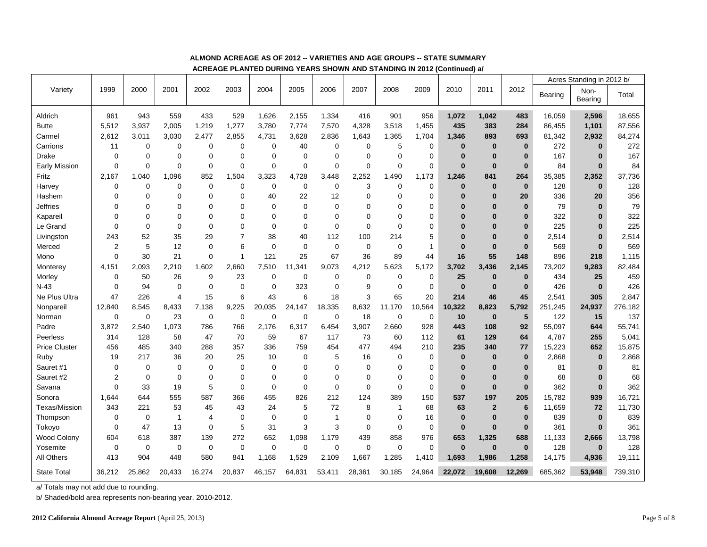|                      |                |             |                | 5311-53     |                |              |             |                |             | ב ו בהוזונט טענומוניט ו בהוגר הוזט וועדונים ו שווחוט שמונות ש |              |              |                |              |         |                           |         |
|----------------------|----------------|-------------|----------------|-------------|----------------|--------------|-------------|----------------|-------------|---------------------------------------------------------------|--------------|--------------|----------------|--------------|---------|---------------------------|---------|
|                      |                |             |                |             |                |              |             |                |             |                                                               |              |              |                |              |         | Acres Standing in 2012 b/ |         |
| Variety              | 1999           | 2000        | 2001           | 2002        | 2003           | 2004         | 2005        | 2006           | 2007        | 2008                                                          | 2009         | 2010         | 2011           | 2012         | Bearing | Non-<br>Bearing           | Total   |
| Aldrich              | 961            | 943         | 559            | 433         | 529            | 1,626        | 2,155       | 1,334          | 416         | 901                                                           | 956          | 1,072        | 1,042          | 483          | 16,059  | 2,596                     | 18,655  |
| <b>Butte</b>         | 5,512          | 3,937       | 2,005          | 1,219       | 1,277          | 3,780        | 7,774       | 7,570          | 4,328       | 3,518                                                         | 1,455        | 435          | 383            | 284          | 86,455  | 1,101                     | 87,556  |
| Carmel               | 2,612          | 3,011       | 3,030          | 2,477       | 2,855          | 4,731        | 3,628       | 2,836          | 1,643       | 1,365                                                         | 1,704        | 1,346        | 893            | 693          | 81,342  | 2,932                     | 84,274  |
| Carrions             | 11             | $\mathbf 0$ | 0              | $\Omega$    | $\mathbf 0$    | 0            | 40          | $\mathbf 0$    | 0           | 5                                                             | $\mathbf 0$  | $\bf{0}$     | $\bf{0}$       | $\bf{0}$     | 272     | $\bf{0}$                  | 272     |
| <b>Drake</b>         | $\mathbf 0$    | $\mathbf 0$ | 0              | $\mathbf 0$ | $\mathbf 0$    | $\mathbf 0$  | $\mathbf 0$ | $\mathbf 0$    | $\Omega$    | $\mathbf 0$                                                   | $\mathbf 0$  | $\bf{0}$     | $\mathbf{0}$   | $\bf{0}$     | 167     | $\bf{0}$                  | 167     |
| Early Mission        | $\mathbf 0$    | $\Omega$    | $\overline{0}$ | $\Omega$    | $\Omega$       | $\mathbf{0}$ | $\Omega$    | $\Omega$       | $\Omega$    | $\Omega$                                                      | $\Omega$     | $\bf{0}$     | $\bf{0}$       | $\bf{0}$     | 84      | $\mathbf{0}$              | 84      |
| Fritz                | 2.167          | 1.040       | 1,096          | 852         | 1,504          | 3,323        | 4,728       | 3.448          | 2,252       | 1,490                                                         | 1,173        | 1,246        | 841            | 264          | 35,385  | 2,352                     | 37,736  |
| Harvey               | 0              | $\mathbf 0$ | 0              | $\mathbf 0$ | $\mathbf 0$    | $\mathbf 0$  | $\mathbf 0$ | $\mathbf 0$    | 3           | $\mathbf 0$                                                   | $\mathbf 0$  | $\bf{0}$     | $\bf{0}$       | $\mathbf{0}$ | 128     | $\mathbf{0}$              | 128     |
| Hashem               | 0              | $\mathbf 0$ | 0              | $\mathbf 0$ | $\mathbf 0$    | 40           | 22          | 12             | $\Omega$    | $\mathbf 0$                                                   | $\mathbf 0$  | $\bf{0}$     | $\mathbf{0}$   | 20           | 336     | 20                        | 356     |
| <b>Jeffries</b>      | $\Omega$       | $\Omega$    | 0              | $\Omega$    | $\Omega$       | $\mathbf 0$  | $\Omega$    | $\Omega$       | $\Omega$    | $\Omega$                                                      | $\Omega$     | $\bf{0}$     | $\bf{0}$       | $\bf{0}$     | 79      | $\bf{0}$                  | 79      |
| Kapareil             | $\Omega$       | $\mathbf 0$ | 0              | $\mathbf 0$ | 0              | $\Omega$     | $\Omega$    | $\Omega$       | $\Omega$    | $\Omega$                                                      | $\Omega$     | $\bf{0}$     | $\bf{0}$       | $\bf{0}$     | 322     | $\bf{0}$                  | 322     |
| Le Grand             | $\mathbf 0$    | $\mathbf 0$ | 0              | $\Omega$    | $\Omega$       | $\Omega$     | $\Omega$    | $\mathbf 0$    | $\mathbf 0$ | $\mathbf 0$                                                   | 0            | $\bf{0}$     | $\bf{0}$       | $\bf{0}$     | 225     | $\bf{0}$                  | 225     |
| Livingston           | 243            | 52          | 35             | 29          | $\overline{7}$ | 38           | 40          | 112            | 100         | 214                                                           | 5            | $\bf{0}$     | $\bf{0}$       | $\bf{0}$     | 2,514   | $\bf{0}$                  | 2,514   |
| Merced               | $\overline{2}$ | 5           | 12             | $\mathbf 0$ | 6              | $\mathbf 0$  | $\mathbf 0$ | $\mathbf 0$    | 0           | $\mathbf 0$                                                   | $\mathbf{1}$ | $\bf{0}$     | $\bf{0}$       | $\bf{0}$     | 569     | $\bf{0}$                  | 569     |
| Mono                 | $\pmb{0}$      | 30          | 21             | $\mathbf 0$ | $\overline{1}$ | 121          | 25          | 67             | 36          | 89                                                            | 44           | 16           | 55             | 148          | 896     | 218                       | 1,115   |
| Monterey             | 4,151          | 2,093       | 2,210          | 1,602       | 2,660          | 7,510        | 11,341      | 9,073          | 4,212       | 5,623                                                         | 5,172        | 3,702        | 3,436          | 2,145        | 73,202  | 9,283                     | 82,484  |
| Morley               | $\mathbf 0$    | 50          | 26             | 9           | 23             | $\mathbf 0$  | $\mathbf 0$ | $\mathbf 0$    | 0           | $\mathbf 0$                                                   | 0            | 25           | $\bf{0}$       | $\bf{0}$     | 434     | 25                        | 459     |
| $N-43$               | $\mathbf 0$    | 94          | 0              | $\Omega$    | $\mathbf 0$    | $\mathbf 0$  | 323         | 0              | 9           | $\mathbf 0$                                                   | $\mathbf 0$  | $\bf{0}$     | $\bf{0}$       | $\bf{0}$     | 426     | $\bf{0}$                  | 426     |
| Ne Plus Ultra        | 47             | 226         | 4              | 15          | 6              | 43           | 6           | 18             | 3           | 65                                                            | 20           | 214          | 46             | 45           | 2,541   | 305                       | 2,847   |
| Nonpareil            | 12,840         | 8,545       | 8,433          | 7,138       | 9.225          | 20,035       | 24,147      | 18,335         | 8,632       | 11,170                                                        | 10,564       | 10,322       | 8,823          | 5,792        | 251,245 | 24,937                    | 276,182 |
| Norman               | 0              | $\mathbf 0$ | 23             | $\mathbf 0$ | $\mathbf 0$    | $\mathbf 0$  | $\mathbf 0$ | $\mathbf 0$    | 18          | $\mathbf 0$                                                   | 0            | 10           | $\bf{0}$       | 5            | 122     | 15                        | 137     |
| Padre                | 3,872          | 2,540       | 1,073          | 786         | 766            | 2,176        | 6,317       | 6,454          | 3,907       | 2,660                                                         | 928          | 443          | 108            | 92           | 55,097  | 644                       | 55,741  |
| Peerless             | 314            | 128         | 58             | 47          | 70             | 59           | 67          | 117            | 73          | 60                                                            | 112          | 61           | 129            | 64           | 4,787   | 255                       | 5,041   |
| <b>Price Cluster</b> | 456            | 485         | 340            | 288         | 357            | 336          | 759         | 454            | 477         | 494                                                           | 210          | 235          | 340            | 77           | 15,223  | 652                       | 15,875  |
| Ruby                 | 19             | 217         | 36             | 20          | 25             | 10           | 0           | 5              | 16          | $\mathbf 0$                                                   | 0            | $\bf{0}$     | $\bf{0}$       | $\bf{0}$     | 2,868   | $\bf{0}$                  | 2,868   |
| Sauret #1            | 0              | $\mathbf 0$ | 0              | $\mathbf 0$ | $\mathbf 0$    | $\mathbf 0$  | $\mathbf 0$ | 0              | 0           | $\mathbf 0$                                                   | 0            | $\bf{0}$     | 0              | $\bf{0}$     | 81      | $\bf{0}$                  | 81      |
| Sauret #2            | 2              | $\mathbf 0$ | 0              | $\Omega$    | $\Omega$       | $\Omega$     | $\Omega$    | $\Omega$       | $\Omega$    | $\Omega$                                                      | $\Omega$     | $\bf{0}$     | $\mathbf{0}$   | $\bf{0}$     | 68      | $\bf{0}$                  | 68      |
| Savana               | $\mathbf 0$    | 33          | 19             | 5           | $\mathbf 0$    | $\mathbf 0$  | $\mathbf 0$ | $\mathbf 0$    | 0           | 0                                                             | 0            | $\bf{0}$     | $\bf{0}$       | $\bf{0}$     | 362     | $\bf{0}$                  | 362     |
| Sonora               | 1.644          | 644         | 555            | 587         | 366            | 455          | 826         | 212            | 124         | 389                                                           | 150          | 537          | 197            | 205          | 15,782  | 939                       | 16,721  |
| <b>Texas/Mission</b> | 343            | 221         | 53             | 45          | 43             | 24           | 5           | 72             | 8           | $\overline{1}$                                                | 68           | 63           | $\overline{2}$ | 6            | 11,659  | 72                        | 11,730  |
| Thompson             | 0              | 0           | $\mathbf{1}$   | 4           | $\mathbf 0$    | 0            | $\mathbf 0$ | $\overline{1}$ | 0           | 0                                                             | 16           | $\bf{0}$     | $\bf{0}$       | $\bf{0}$     | 839     | $\bf{0}$                  | 839     |
| Tokoyo               | $\mathbf 0$    | 47          | 13             | $\mathbf 0$ | $\mathbf 5$    | 31           | 3           | 3              | $\mathbf 0$ | $\mathbf 0$                                                   | 0            | $\mathbf{0}$ | $\bf{0}$       | $\mathbf{0}$ | 361     | $\mathbf{0}$              | 361     |
| Wood Colony          | 604            | 618         | 387            | 139         | 272            | 652          | 1,098       | 1,179          | 439         | 858                                                           | 976          | 653          | 1,325          | 688          | 11,133  | 2,666                     | 13,798  |
| Yosemite             | $\mathbf 0$    | $\mathbf 0$ | $\mathbf 0$    | 0           | $\mathbf 0$    | $\mathbf 0$  | $\mathbf 0$ | $\mathbf 0$    | 0           | $\mathbf 0$                                                   | $\mathbf 0$  | $\bf{0}$     | $\mathbf{0}$   | $\bf{0}$     | 128     | $\mathbf{0}$              | 128     |
| All Others           | 413            | 904         | 448            | 580         | 841            | 1,168        | 1,529       | 2,109          | 1,667       | 1,285                                                         | 1,410        | 1.693        | 1,986          | 1,258        | 14,175  | 4,936                     | 19,111  |
| <b>State Total</b>   | 36,212         | 25,862      | 20,433         | 16,274      | 20,837         | 46,157       | 64,831      | 53,411         | 28,361      | 30,185                                                        | 24,964       | 22.072       | 19,608         | 12.269       | 685,362 | 53,948                    | 739,310 |

#### **ALMOND ACREAGE AS OF 2012 -- VARIETIES AND AGE GROUPS -- STATE SUMMARY**

**ACREAGE PLANTED DURING YEARS SHOWN AND STANDING IN 2012 (Continued) a/** 

a/ Totals may not add due to rounding.

b/ Shaded/bold area represents non-bearing year, 2010-2012.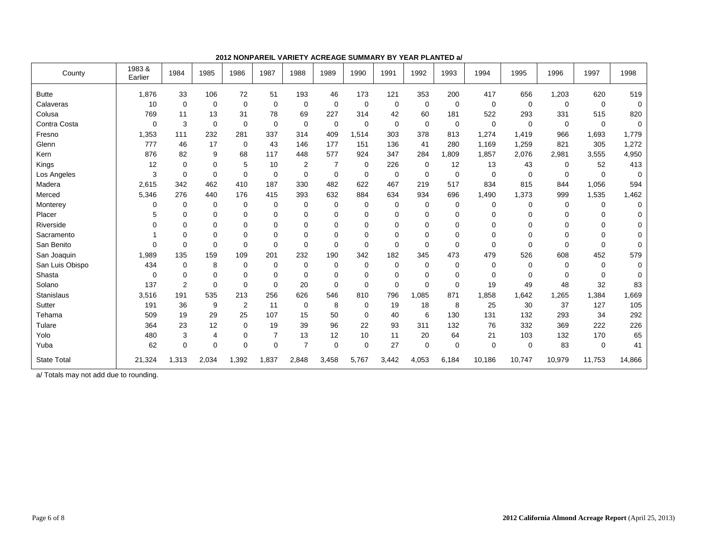| County             | 1983&<br>Earlier | 1984           | 1985        | 1986           | 1987           | 1988           | 1989        | 1990        | 1991        | 1992        | 1993        | 1994        | 1995        | 1996        | 1997        | 1998        |
|--------------------|------------------|----------------|-------------|----------------|----------------|----------------|-------------|-------------|-------------|-------------|-------------|-------------|-------------|-------------|-------------|-------------|
| <b>Butte</b>       | 1,876            | 33             | 106         | 72             | 51             | 193            | 46          | 173         | 121         | 353         | 200         | 417         | 656         | 1,203       | 620         | 519         |
| Calaveras          | 10               | $\mathbf 0$    | 0           | $\mathbf 0$    | $\mathbf 0$    | $\mathbf 0$    | $\mathbf 0$ | $\mathbf 0$ | $\mathbf 0$ | 0           | $\mathbf 0$ | 0           | $\mathbf 0$ | $\mathbf 0$ | $\mathbf 0$ | $\mathbf 0$ |
| Colusa             | 769              | 11             | 13          | 31             | 78             | 69             | 227         | 314         | 42          | 60          | 181         | 522         | 293         | 331         | 515         | 820         |
| Contra Costa       | $\Omega$         | 3              | $\mathbf 0$ | $\Omega$       | $\Omega$       | $\Omega$       | $\mathbf 0$ | $\mathbf 0$ | $\mathbf 0$ | $\mathbf 0$ | $\mathbf 0$ | $\mathbf 0$ | 0           | $\mathbf 0$ | $\Omega$    | 0           |
| Fresno             | 1,353            | 111            | 232         | 281            | 337            | 314            | 409         | 1,514       | 303         | 378         | 813         | 1,274       | 1,419       | 966         | 1,693       | 1,779       |
| Glenn              | 777              | 46             | 17          | $\mathbf 0$    | 43             | 146            | 177         | 151         | 136         | 41          | 280         | 1,169       | 1,259       | 821         | 305         | 1,272       |
| Kern               | 876              | 82             | 9           | 68             | 117            | 448            | 577         | 924         | 347         | 284         | 1,809       | 1,857       | 2,076       | 2,981       | 3,555       | 4,950       |
| Kings              | 12               | 0              | 0           | 5              | 10             | 2              | 7           | 0           | 226         | 0           | 12          | 13          | 43          | 0           | 52          | 413         |
| Los Angeles        | 3                | 0              | $\mathbf 0$ | $\mathbf 0$    | $\mathbf 0$    | $\mathbf 0$    | $\mathbf 0$ | $\mathbf 0$ | $\mathbf 0$ | $\mathbf 0$ | $\mathbf 0$ | 0           | 0           | $\mathbf 0$ | $\Omega$    | 0           |
| Madera             | 2,615            | 342            | 462         | 410            | 187            | 330            | 482         | 622         | 467         | 219         | 517         | 834         | 815         | 844         | 1,056       | 594         |
| Merced             | 5,346            | 276            | 440         | 176            | 415            | 393            | 632         | 884         | 634         | 934         | 696         | 1,490       | 1,373       | 999         | 1,535       | 1,462       |
| Monterey           | 0                | 0              | 0           | $\mathbf 0$    | $\mathbf 0$    | 0              | 0           | 0           | 0           | 0           | $\mathbf 0$ | 0           | 0           | 0           | 0           | 0           |
| Placer             | 5                | 0              | 0           | $\mathbf 0$    | $\Omega$       | $\Omega$       | 0           | 0           | 0           | 0           | $\Omega$    | $\mathbf 0$ | 0           | $\Omega$    | $\Omega$    | 0           |
| Riverside          | $\Omega$         | 0              | 0           | $\Omega$       | $\Omega$       | $\Omega$       | $\Omega$    | $\Omega$    | 0           | 0           | $\Omega$    | $\Omega$    | 0           | $\Omega$    | $\Omega$    | 0           |
| Sacramento         |                  | $\Omega$       | 0           | $\Omega$       | $\Omega$       | $\Omega$       | $\Omega$    | $\Omega$    | 0           | 0           | $\Omega$    | $\Omega$    | 0           | $\Omega$    | O           | 0           |
| San Benito         | $\Omega$         | 0              | $\Omega$    | $\Omega$       | $\Omega$       | $\Omega$       | 0           | $\mathbf 0$ | $\mathbf 0$ | $\Omega$    | $\Omega$    | $\mathbf 0$ | 0           | $\Omega$    | $\Omega$    | 0           |
| San Joaquin        | 1,989            | 135            | 159         | 109            | 201            | 232            | 190         | 342         | 182         | 345         | 473         | 479         | 526         | 608         | 452         | 579         |
| San Luis Obispo    | 434              | 0              | 8           | $\mathbf 0$    | $\Omega$       | $\Omega$       | 0           | 0           | 0           | 0           | $\Omega$    | 0           | 0           | $\Omega$    | 0           | 0           |
| Shasta             | $\Omega$         | 0              | 0           | $\mathbf 0$    | $\Omega$       | $\Omega$       | 0           | $\mathbf 0$ | 0           | 0           | $\Omega$    | 0           | 0           | $\Omega$    | 0           | 0           |
| Solano             | 137              | $\overline{2}$ | $\mathbf 0$ | $\Omega$       | $\Omega$       | 20             | $\Omega$    | $\Omega$    | $\mathbf 0$ | $\Omega$    | $\Omega$    | 19          | 49          | 48          | 32          | 83          |
| Stanislaus         | 3,516            | 191            | 535         | 213            | 256            | 626            | 546         | 810         | 796         | 1,085       | 871         | 1,858       | 1,642       | 1,265       | 1,384       | 1,669       |
| Sutter             | 191              | 36             | 9           | $\overline{2}$ | 11             | 0              | 8           | 0           | 19          | 18          | 8           | 25          | 30          | 37          | 127         | 105         |
| Tehama             | 509              | 19             | 29          | 25             | 107            | 15             | 50          | 0           | 40          | 6           | 130         | 131         | 132         | 293         | 34          | 292         |
| Tulare             | 364              | 23             | 12          | $\mathbf 0$    | 19             | 39             | 96          | 22          | 93          | 311         | 132         | 76          | 332         | 369         | 222         | 226         |
| Yolo               | 480              | 3              | 4           | 0              | $\overline{7}$ | 13             | 12          | 10          | 11          | 20          | 64          | 21          | 103         | 132         | 170         | 65          |
| Yuba               | 62               | 0              | $\mathbf 0$ | $\Omega$       | $\Omega$       | $\overline{7}$ | 0           | $\mathbf 0$ | 27          | $\mathbf 0$ | $\Omega$    | $\mathbf 0$ | 0           | 83          | 0           | 41          |
| <b>State Total</b> | 21,324           | 1,313          | 2,034       | 1,392          | 1,837          | 2,848          | 3,458       | 5,767       | 3,442       | 4,053       | 6,184       | 10,186      | 10,747      | 10,979      | 11,753      | 14,866      |

**2012 NONPAREIL VARIETY ACREAGE SUMMARY BY YEAR PLANTED a/**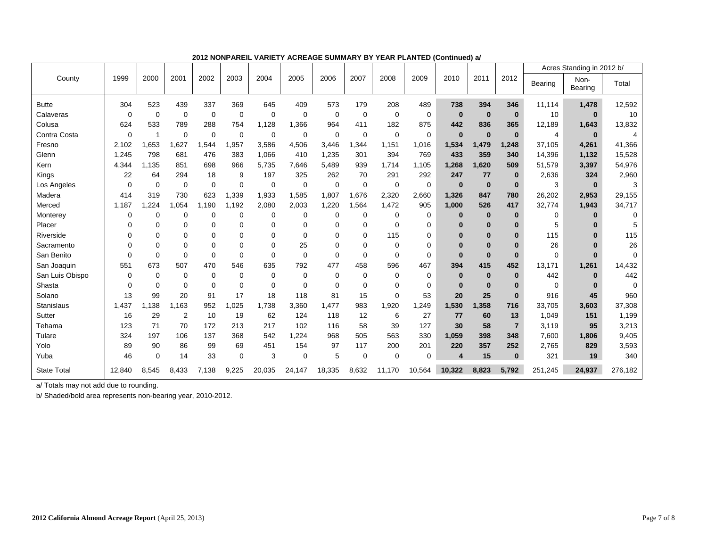|                    |          |                          |             |             |             |             |          |             |             |             |             |          |              |                |             | Acres Standing in 2012 b/ |          |
|--------------------|----------|--------------------------|-------------|-------------|-------------|-------------|----------|-------------|-------------|-------------|-------------|----------|--------------|----------------|-------------|---------------------------|----------|
| County             | 1999     | 2000                     | 2001        | 2002        | 2003        | 2004        | 2005     | 2006        | 2007        | 2008        | 2009        | 2010     | 2011         | 2012           | Bearing     | Non-<br><b>Bearing</b>    | Total    |
| <b>Butte</b>       | 304      | 523                      | 439         | 337         | 369         | 645         | 409      | 573         | 179         | 208         | 489         | 738      | 394          | 346            | 11.114      | 1,478                     | 12,592   |
| Calaveras          | 0        | $\mathbf 0$              | 0           | 0           | $\mathbf 0$ | $\mathbf 0$ | 0        | $\mathbf 0$ | $\mathbf 0$ | $\mathbf 0$ | $\mathbf 0$ | $\bf{0}$ | $\bf{0}$     | $\bf{0}$       | 10          | $\bf{0}$                  | 10       |
| Colusa             | 624      | 533                      | 789         | 288         | 754         | 1,128       | 1,366    | 964         | 411         | 182         | 875         | 442      | 836          | 365            | 12,189      | 1,643                     | 13,832   |
| Contra Costa       | $\Omega$ | $\overline{\phantom{a}}$ | $\Omega$    | $\mathbf 0$ | $\Omega$    | 0           | $\Omega$ | $\Omega$    | 0           | $\Omega$    | $\mathbf 0$ | $\bf{0}$ | $\mathbf{0}$ | $\bf{0}$       | 4           | $\bf{0}$                  |          |
| Fresno             | 2,102    | 1,653                    | 1,627       | 1,544       | ,957        | 3,586       | 4,506    | 3,446       | 1,344       | 1,151       | 1,016       | 1,534    | 1.479        | 1,248          | 37,105      | 4,261                     | 41,366   |
| Glenn              | 1,245    | 798                      | 681         | 476         | 383         | 1,066       | 410      | 1,235       | 301         | 394         | 769         | 433      | 359          | 340            | 14,396      | 1,132                     | 15,528   |
| Kern               | 4,344    | 1.135                    | 851         | 698         | 966         | 5,735       | 7,646    | 5,489       | 939         | 1,714       | 1,105       | 1,268    | .620         | 509            | 51,579      | 3,397                     | 54,976   |
| Kings              | 22       | 64                       | 294         | 18          | 9           | 197         | 325      | 262         | 70          | 291         | 292         | 247      | 77           | $\bf{0}$       | 2,636       | 324                       | 2,960    |
| Los Angeles        | $\Omega$ | $\Omega$                 | $\Omega$    | $\mathbf 0$ | $\Omega$    | $\Omega$    | $\Omega$ | $\Omega$    | $\Omega$    | $\mathbf 0$ | $\Omega$    | $\bf{0}$ | $\bf{0}$     | $\bf{0}$       | 3           | $\bf{0}$                  | 3        |
| Madera             | 414      | 319                      | 730         | 623         | 1,339       | 1,933       | 1,585    | 1,807       | 1,676       | 2,320       | 2,660       | 1,326    | 847          | 780            | 26,202      | 2,953                     | 29,155   |
| Merced             | 1,187    | .224                     | 1,054       | 1.190       | 1,192       | 2,080       | 2,003    | 1,220       | 1,564       | 1,472       | 905         | 1,000    | 526          | 417            | 32,774      | 1,943                     | 34,717   |
| Monterey           | $\Omega$ | 0                        | $\mathbf 0$ | 0           | $\mathbf 0$ | 0           | 0        | 0           | 0           | 0           | $\mathbf 0$ | 0        | $\bf{0}$     | $\bf{0}$       | 0           | $\bf{0}$                  | $\Omega$ |
| Placer             | $\Omega$ | $\Omega$                 | $\mathbf 0$ | $\mathbf 0$ | 0           | $\Omega$    | 0        | $\Omega$    | 0           | 0           | 0           | $\bf{0}$ | $\bf{0}$     | $\bf{0}$       | 5           | $\bf{0}$                  |          |
| Riverside          | $\Omega$ | 0                        | $\Omega$    | $\Omega$    | $\Omega$    | $\Omega$    | $\Omega$ | $\Omega$    | $\Omega$    | 115         | $\mathbf 0$ | $\bf{0}$ | 0            | $\bf{0}$       | 115         | $\bf{0}$                  | 115      |
| Sacramento         | $\Omega$ | $\Omega$                 | $\mathbf 0$ | 0           | $\Omega$    | $\Omega$    | 25       | $\Omega$    | 0           | 0           | 0           | $\bf{0}$ | $\bf{0}$     | $\Omega$       | 26          | $\bf{0}$                  | 26       |
| San Benito         | $\Omega$ | $\Omega$                 | $\Omega$    | $\mathbf 0$ | $\Omega$    | $\Omega$    | $\Omega$ | $\Omega$    | $\Omega$    | $\mathbf 0$ | $\Omega$    | $\bf{0}$ | $\bf{0}$     | $\bf{0}$       | $\mathbf 0$ | $\bf{0}$                  | $\Omega$ |
| San Joaquin        | 551      | 673                      | 507         | 470         | 546         | 635         | 792      | 477         | 458         | 596         | 467         | 394      | 415          | 452            | 13,171      | 1,261                     | 14,432   |
| San Luis Obispo    | $\Omega$ | $\Omega$                 | $\mathbf 0$ | 0           | $\Omega$    | $\Omega$    | $\Omega$ | $\Omega$    | $\Omega$    | $\Omega$    | $\Omega$    | $\bf{0}$ | $\bf{0}$     | $\bf{0}$       | 442         | $\bf{0}$                  | 442      |
| Shasta             | $\Omega$ | $\Omega$                 | $\mathbf 0$ | $\mathbf 0$ | $\Omega$    | $\Omega$    | $\Omega$ | $\Omega$    | $\Omega$    | 0           | 0           | $\bf{0}$ | $\bf{0}$     | $\Omega$       | 0           | $\bf{0}$                  | $\Omega$ |
| Solano             | 13       | 99                       | 20          | 91          | 17          | 18          | 118      | 81          | 15          | $\Omega$    | 53          | 20       | 25           | $\bf{0}$       | 916         | 45                        | 960      |
| Stanislaus         | 1,437    | 1.138                    | 1,163       | 952         | .025        | 1,738       | 3,360    | 1,477       | 983         | 1,920       | 1,249       | 1,530    | 1,358        | 716            | 33,705      | 3,603                     | 37,308   |
| Sutter             | 16       | 29                       | 2           | 10          | 19          | 62          | 124      | 118         | 12          | 6           | 27          | 77       | 60           | 13             | 1,049       | 151                       | 1,199    |
| Tehama             | 123      | 71                       | 70          | 172         | 213         | 217         | 102      | 116         | 58          | 39          | 127         | 30       | 58           | $\overline{7}$ | 3,119       | 95                        | 3,213    |
| Tulare             | 324      | 197                      | 106         | 137         | 368         | 542         | 1,224    | 968         | 505         | 563         | 330         | 1,059    | 398          | 348            | 7,600       | 1,806                     | 9,405    |
| Yolo               | 89       | 90                       | 86          | 99          | 69          | 451         | 154      | 97          | 117         | 200         | 201         | 220      | 357          | 252            | 2,765       | 829                       | 3,593    |
| Yuba               | 46       | 0                        | 14          | 33          | $\Omega$    | 3           | 0        | 5           | $\mathbf 0$ | $\mathbf 0$ | $\mathbf 0$ | 4        | 15           | $\bf{0}$       | 321         | 19                        | 340      |
| <b>State Total</b> | 12.840   | 8.545                    | 8.433       | 7,138       | 9.225       | 20,035      | 24,147   | 18,335      | 8.632       | 11.170      | 10.564      | 10.322   | 8.823        | 5.792          | 251.245     | 24.937                    | 276,182  |

**2012 NONPAREIL VARIETY ACREAGE SUMMARY BY YEAR PLANTED (Continued) a/** 

b/ Shaded/bold area represents non-bearing year, 2010-2012.